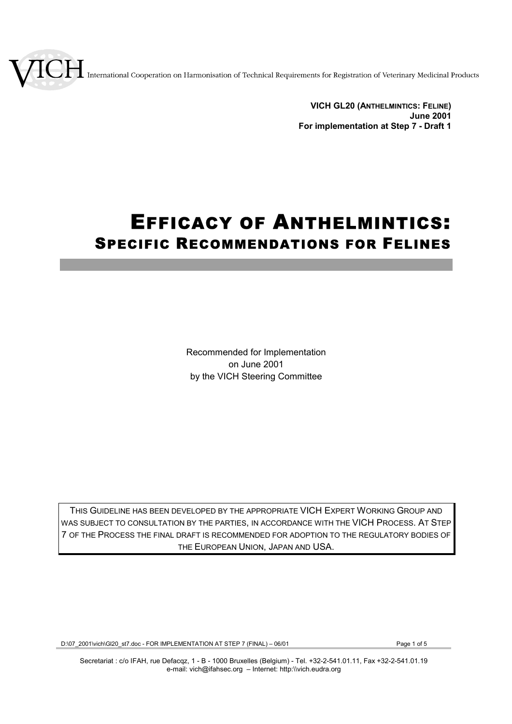International Cooperation on Harmonisation of Technical Requirements for Registration of Veterinary Medicinal Products

**VICH GL20 (ANTHELMINTICS: FELINE) June 2001 For implementation at Step 7 - Draft 1**

# EFFICACY OF ANTHELMINTICS: SPECIFIC RECOMMENDATIONS FOR FELINES

Recommended for Implementation on June 2001 by the VICH Steering Committee

THIS GUIDELINE HAS BEEN DEVELOPED BY THE APPROPRIATE VICH EXPERT WORKING GROUP AND WAS SUBJECT TO CONSULTATION BY THE PARTIES, IN ACCORDANCE WITH THE VICH PROCESS. AT STEP 7 OF THE PROCESS THE FINAL DRAFT IS RECOMMENDED FOR ADOPTION TO THE REGULATORY BODIES OF THE EUROPEAN UNION, JAPAN AND USA.

D:\07\_2001\vich\Gl20\_st7.doc - FOR IMPLEMENTATION AT STEP 7 (FINAL) – 06/01 Page 1 of 5

Secretariat : c/o IFAH, rue Defacqz, 1 - B - 1000 Bruxelles (Belgium) - Tel. +32-2-541.01.11, Fax +32-2-541.01.19 e-mail: vich@ifahsec.org – Internet: http:\\vich.eudra.org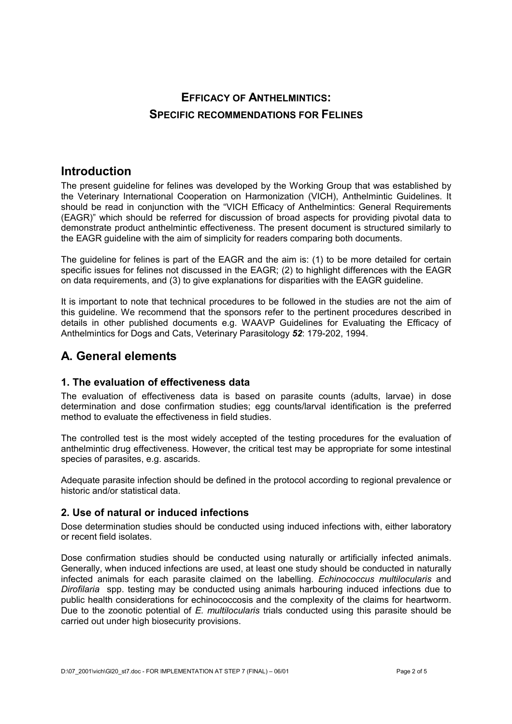# **EFFICACY OF ANTHELMINTICS: SPECIFIC RECOMMENDATIONS FOR FELINES**

# **Introduction**

The present guideline for felines was developed by the Working Group that was established by the Veterinary International Cooperation on Harmonization (VICH), Anthelmintic Guidelines. It should be read in conjunction with the "VICH Efficacy of Anthelmintics: General Requirements (EAGR)" which should be referred for discussion of broad aspects for providing pivotal data to demonstrate product anthelmintic effectiveness. The present document is structured similarly to the EAGR guideline with the aim of simplicity for readers comparing both documents.

The guideline for felines is part of the EAGR and the aim is: (1) to be more detailed for certain specific issues for felines not discussed in the EAGR; (2) to highlight differences with the EAGR on data requirements, and (3) to give explanations for disparities with the EAGR guideline.

It is important to note that technical procedures to be followed in the studies are not the aim of this guideline. We recommend that the sponsors refer to the pertinent procedures described in details in other published documents e.g. WAAVP Guidelines for Evaluating the Efficacy of Anthelmintics for Dogs and Cats, Veterinary Parasitology *52*: 179-202, 1994.

# **A. General elements**

# **1. The evaluation of effectiveness data**

The evaluation of effectiveness data is based on parasite counts (adults, larvae) in dose determination and dose confirmation studies; egg counts/larval identification is the preferred method to evaluate the effectiveness in field studies.

The controlled test is the most widely accepted of the testing procedures for the evaluation of anthelmintic drug effectiveness. However, the critical test may be appropriate for some intestinal species of parasites, e.g. ascarids.

Adequate parasite infection should be defined in the protocol according to regional prevalence or historic and/or statistical data.

# **2. Use of natural or induced infections**

Dose determination studies should be conducted using induced infections with, either laboratory or recent field isolates.

Dose confirmation studies should be conducted using naturally or artificially infected animals. Generally, when induced infections are used, at least one study should be conducted in naturally infected animals for each parasite claimed on the labelling. *Echinococcus multilocularis* and *Dirofilaria* spp. testing may be conducted using animals harbouring induced infections due to public health considerations for echinococcosis and the complexity of the claims for heartworm. Due to the zoonotic potential of *E. multilocularis* trials conducted using this parasite should be carried out under high biosecurity provisions.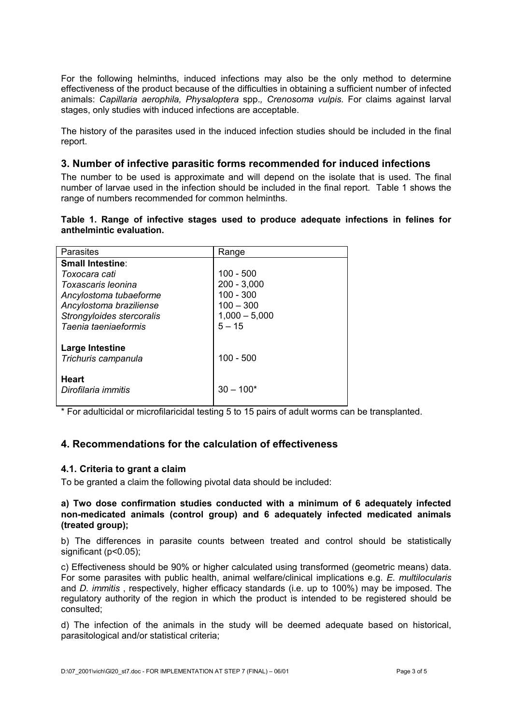For the following helminths, induced infections may also be the only method to determine effectiveness of the product because of the difficulties in obtaining a sufficient number of infected animals: *Capillaria aerophila, Physaloptera* spp.*, Crenosoma vulpis.* For claims against larval stages, only studies with induced infections are acceptable.

The history of the parasites used in the induced infection studies should be included in the final report.

#### **3. Number of infective parasitic forms recommended for induced infections**

The number to be used is approximate and will depend on the isolate that is used. The final number of larvae used in the infection should be included in the final report. Table 1 shows the range of numbers recommended for common helminths.

#### **Table 1. Range of infective stages used to produce adequate infections in felines for anthelmintic evaluation.**

| Range           |
|-----------------|
|                 |
| $100 - 500$     |
| $200 - 3,000$   |
| $100 - 300$     |
| $100 - 300$     |
| $1,000 - 5,000$ |
| $5 - 15$        |
|                 |
|                 |
| $100 - 500$     |
|                 |
| $30 - 100*$     |
|                 |
|                 |

\* For adulticidal or microfilaricidal testing 5 to 15 pairs of adult worms can be transplanted.

# **4. Recommendations for the calculation of effectiveness**

#### **4.1. Criteria to grant a claim**

To be granted a claim the following pivotal data should be included:

#### **a) Two dose confirmation studies conducted with a minimum of 6 adequately infected non-medicated animals (control group) and 6 adequately infected medicated animals (treated group);**

b) The differences in parasite counts between treated and control should be statistically significant (p<0.05);

c) Effectiveness should be 90% or higher calculated using transformed (geometric means) data. For some parasites with public health, animal welfare/clinical implications e.g. *E. multilocularis* and *D. immitis* , respectively, higher efficacy standards (i.e. up to 100%) may be imposed. The regulatory authority of the region in which the product is intended to be registered should be consulted;

d) The infection of the animals in the study will be deemed adequate based on historical, parasitological and/or statistical criteria;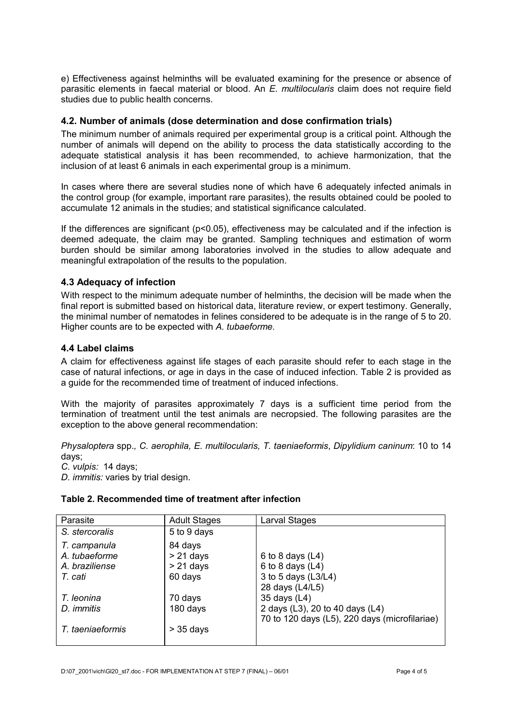e) Effectiveness against helminths will be evaluated examining for the presence or absence of parasitic elements in faecal material or blood. An *E. multilocularis* claim does not require field studies due to public health concerns.

#### **4.2. Number of animals (dose determination and dose confirmation trials)**

The minimum number of animals required per experimental group is a critical point. Although the number of animals will depend on the ability to process the data statistically according to the adequate statistical analysis it has been recommended, to achieve harmonization, that the inclusion of at least 6 animals in each experimental group is a minimum.

In cases where there are several studies none of which have 6 adequately infected animals in the control group (for example, important rare parasites), the results obtained could be pooled to accumulate 12 animals in the studies; and statistical significance calculated.

If the differences are significant ( $p$ <0.05), effectiveness may be calculated and if the infection is deemed adequate, the claim may be granted. Sampling techniques and estimation of worm burden should be similar among laboratories involved in the studies to allow adequate and meaningful extrapolation of the results to the population.

### **4.3 Adequacy of infection**

With respect to the minimum adequate number of helminths, the decision will be made when the final report is submitted based on historical data, literature review, or expert testimony. Generally, the minimal number of nematodes in felines considered to be adequate is in the range of 5 to 20. Higher counts are to be expected with *A. tubaeforme*.

#### **4.4 Label claims**

A claim for effectiveness against life stages of each parasite should refer to each stage in the case of natural infections, or age in days in the case of induced infection. Table 2 is provided as a guide for the recommended time of treatment of induced infections.

With the majority of parasites approximately 7 days is a sufficient time period from the termination of treatment until the test animals are necropsied. The following parasites are the exception to the above general recommendation:

*Physaloptera* spp.*, C. aerophila, E. multilocularis, T. taeniaeformis*, *Dipylidium caninum*: 10 to 14 days;

*C. vulpis:* 14 days;

*D. immitis:* varies by trial design.

#### **Table 2. Recommended time of treatment after infection**

| Parasite         | <b>Adult Stages</b> | Larval Stages                                 |
|------------------|---------------------|-----------------------------------------------|
| S. stercoralis   | 5 to 9 days         |                                               |
| T. campanula     | 84 days             |                                               |
| A. tubaeforme    | $> 21$ days         | 6 to 8 days $(L4)$                            |
| A. braziliense   | $> 21$ days         | 6 to 8 days $(L4)$                            |
| T. cati          | 60 days             | 3 to 5 days (L3/L4)                           |
|                  |                     | 28 days (L4/L5)                               |
| T. leonina       | 70 days             | 35 days (L4)                                  |
| D. immitis       | 180 days            | 2 days (L3), 20 to 40 days (L4)               |
|                  |                     | 70 to 120 days (L5), 220 days (microfilariae) |
| T. taeniaeformis | $>$ 35 days         |                                               |
|                  |                     |                                               |